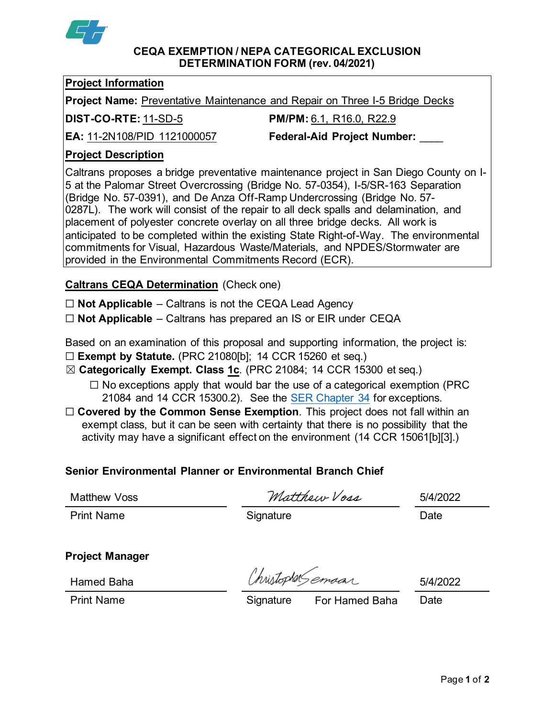

#### **CEQA EXEMPTION / NEPA CATEGORICAL EXCLUSION DETERMINATION FORM (rev. 04/2021)**

### **Project Information**

**Project Name:** Preventative Maintenance and Repair on Three I-5 Bridge Decks

**DIST-CO-RTE:** 11-SD-5 **PM/PM:** 6.1, R16.0, R22.9

**EA:** 11-2N108/PID 1121000057 **Federal-Aid Project Number:** \_\_\_\_

# **Project Description**

Caltrans proposes a bridge preventative maintenance project in San Diego County on I-5 at the Palomar Street Overcrossing (Bridge No. 57-0354), I-5/SR-163 Separation (Bridge No. 57-0391), and De Anza Off-Ramp Undercrossing (Bridge No. 57- 0287L). The work will consist of the repair to all deck spalls and delamination, and placement of polyester concrete overlay on all three bridge decks. All work is anticipated to be completed within the existing State Right-of-Way. The environmental commitments for Visual, Hazardous Waste/Materials, and NPDES/Stormwater are provided in the Environmental Commitments Record (ECR).

# **Caltrans CEQA Determination** (Check one)

☐ **Not Applicable** – Caltrans is not the CEQA Lead Agency

☐ **Not Applicable** – Caltrans has prepared an IS or EIR under CEQA

Based on an examination of this proposal and supporting information, the project is: ☐ **Exempt by Statute.** (PRC 21080[b]; 14 CCR 15260 et seq.)

- ☒ **Categorically Exempt. Class 1c**. (PRC 21084; 14 CCR 15300 et seq.)
	- $\Box$  No exceptions apply that would bar the use of a categorical exemption (PRC 21084 and 14 CCR 15300.2). See the [SER Chapter 34](https://dot.ca.gov/programs/environmental-analysis/standard-environmental-reference-ser/volume-1-guidance-for-compliance/ch-34-exemptions-to-ceqa#except) for exceptions.
- □ **Covered by the Common Sense Exemption**. This project does not fall within an exempt class, but it can be seen with certainty that there is no possibility that the activity may have a significant effect on the environment (14 CCR 15061[b][3].)

# **Senior Environmental Planner or Environmental Branch Chief**

Matthew Voss 5/4/2022

Print Name **Signature** Signature Date

# **Project Manager**

Hamed Baha 5/4/2022

Print Name Signature For Hamed Baha Date